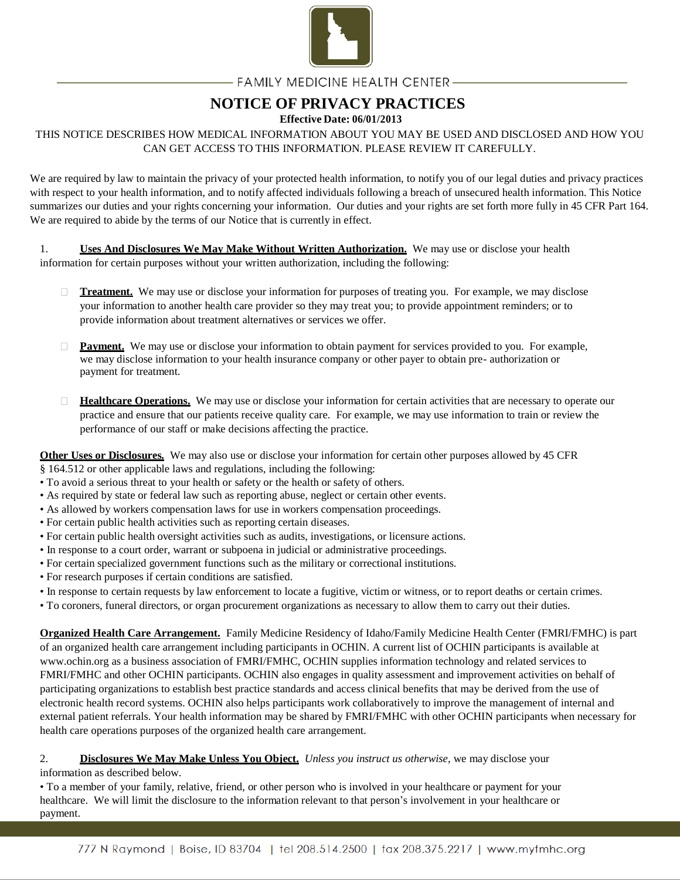

## - FAMILY MEDICINE HEALTH CENTER –

# **NOTICE OF PRIVACY PRACTICES**

### **Effective Date: 06/01/2013**

## THIS NOTICE DESCRIBES HOW MEDICAL INFORMATION ABOUT YOU MAY BE USED AND DISCLOSED AND HOW YOU CAN GET ACCESS TO THIS INFORMATION. PLEASE REVIEW IT CAREFULLY.

We are required by law to maintain the privacy of your protected health information, to notify you of our legal duties and privacy practices with respect to your health information, and to notify affected individuals following a breach of unsecured health information. This Notice summarizes our duties and your rights concerning your information. Our duties and your rights are set forth more fully in 45 CFR Part 164. We are required to abide by the terms of our Notice that is currently in effect.

1. **Uses And Disclosures We May Make Without Written Authorization.** We may use or disclose your health information for certain purposes without your written authorization, including the following:

- $\Box$ **Treatment.** We may use or disclose your information for purposes of treating you. For example, we may disclose your information to another health care provider so they may treat you; to provide appointment reminders; or to provide information about treatment alternatives or services we offer.
- **Payment.** We may use or disclose your information to obtain payment for services provided to you. For example, we may disclose information to your health insurance company or other payer to obtain pre- authorization or payment for treatment.
- **Healthcare Operations.** We may use or disclose your information for certain activities that are necessary to operate our  $\Box$ practice and ensure that our patients receive quality care. For example, we may use information to train or review the performance of our staff or make decisions affecting the practice.

**Other Uses or Disclosures.** We may also use or disclose your information for certain other purposes allowed by 45 CFR

- § 164.512 or other applicable laws and regulations, including the following:
- To avoid a serious threat to your health or safety or the health or safety of others.
- As required by state or federal law such as reporting abuse, neglect or certain other events.
- As allowed by workers compensation laws for use in workers compensation proceedings.
- For certain public health activities such as reporting certain diseases.
- For certain public health oversight activities such as audits, investigations, or licensure actions.
- In response to a court order, warrant or subpoena in judicial or administrative proceedings.
- For certain specialized government functions such as the military or correctional institutions.
- For research purposes if certain conditions are satisfied.
- In response to certain requests by law enforcement to locate a fugitive, victim or witness, or to report deaths or certain crimes.
- To coroners, funeral directors, or organ procurement organizations as necessary to allow them to carry out their duties.

**Organized Health Care Arrangement.** Family Medicine Residency of Idaho/Family Medicine Health Center (FMRI/FMHC) is part of an organized health care arrangement including participants in OCHIN. A current list of OCHIN participants is available at www.ochin.org as a business association of FMRI/FMHC, OCHIN supplies information technology and related services to FMRI/FMHC and other OCHIN participants. OCHIN also engages in quality assessment and improvement activities on behalf of participating organizations to establish best practice standards and access clinical benefits that may be derived from the use of electronic health record systems. OCHIN also helps participants work collaboratively to improve the management of internal and external patient referrals. Your health information may be shared by FMRI/FMHC with other OCHIN participants when necessary for health care operations purposes of the organized health care arrangement.

#### 2. **Disclosures We May Make Unless You Object.** *Unless you instruct us otherwise*, we may disclose your information as described below.

• To a member of your family, relative, friend, or other person who is involved in your healthcare or payment for your healthcare. We will limit the disclosure to the information relevant to that person's involvement in your healthcare or payment.